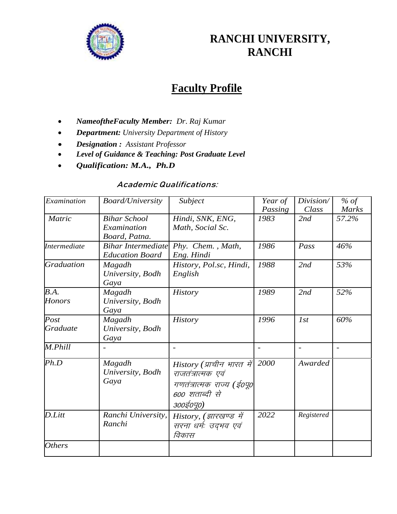

# **RANCHI UNIVERSITY, RANCHI**

# **Faculty Profile**

- *NameoftheFaculty Member: Dr*. *Raj Kumar*
- *Department: University Department of History*
- *Designation : Assistant Professor*
- *Level of Guidance & Teaching: Post Graduate Level*
- *Qualification: M.A., Ph.D*

#### **Academic Qualifications:**

| Examination           | <b>Board/University</b>                             | Subject                                                                                                    | Year of<br>Passing | Division/<br>Class       | % of<br><b>Marks</b> |
|-----------------------|-----------------------------------------------------|------------------------------------------------------------------------------------------------------------|--------------------|--------------------------|----------------------|
| <b>Matric</b>         | <b>Bihar School</b><br>Examination<br>Board, Patna. | Hindi, SNK, ENG,<br>Math, Social Sc.                                                                       | 1983               | 2nd                      | 57.2%                |
| <b>Intermediate</b>   | <b>Bihar Intermediate</b><br><b>Education Board</b> | Phy. Chem., Math,<br>Eng. Hindi                                                                            | 1986               | Pass                     | 46%                  |
| <b>Graduation</b>     | Magadh<br>University, Bodh<br>Gaya                  | History, Pol.sc, Hindi,<br>English                                                                         | 1988               | 2nd                      | 53%                  |
| B.A.<br><b>Honors</b> | Magadh<br>University, Bodh<br>Gaya                  | <b>History</b>                                                                                             | 1989               | 2nd                      | 52%                  |
| Post<br>Graduate      | Magadh<br>University, Bodh<br>Gaya                  | <b>History</b>                                                                                             | 1996               | 1st                      | 60%                  |
| M.Phill               |                                                     |                                                                                                            |                    | $\overline{\phantom{a}}$ |                      |
| Ph.D                  | Magadh<br>University, Bodh<br>Gaya                  | History (प्राचीन भारत में<br>राजतंत्रात्मक एवं<br>गणतंत्रात्मक राज्य (ई०पू०<br>600 शताब्दी से<br>300ई0पू0) | 2000               | Awarded                  |                      |
| D.Litt                | Ranchi University,<br>Ranchi                        | History, (झारखण्ड में<br>सरना धर्मः उद्भव एवं<br>विकास                                                     | 2022               | Registered               |                      |
| <b>Others</b>         |                                                     |                                                                                                            |                    |                          |                      |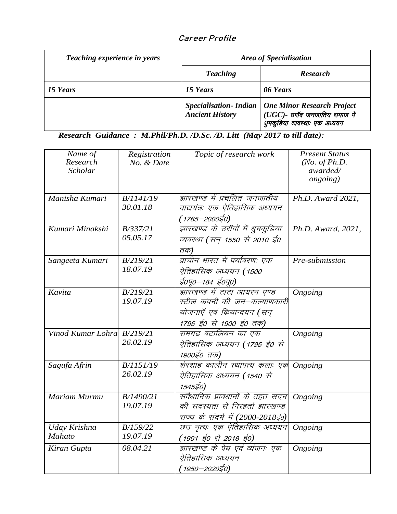### **Career Profile**

| Teaching experience in years | <b>Area of Specialisation</b>                          |                                                                                                     |  |
|------------------------------|--------------------------------------------------------|-----------------------------------------------------------------------------------------------------|--|
|                              | <b>Teaching</b>                                        | <b>Research</b>                                                                                     |  |
| 15 Years                     | 15 Years                                               | 06 Years                                                                                            |  |
|                              | <b>Specialisation-Indian</b><br><b>Ancient History</b> | <b>One Minor Research Project</b><br>(UGC)- उरॉव जनजातिय समाज में<br>धुमकुड़िया व्यवस्थाः एक अध्ययन |  |

*Research Guidance : M.Phil/Ph.D. /D.Sc. /D. Litt (May 2017 to till date):*

| Name of<br>Research<br>Scholar | Registration<br>No. & Date | Topic of research work            | <b>Present Status</b><br>(No. of Ph.D.<br>awarded/<br><i>ongoing</i> ) |
|--------------------------------|----------------------------|-----------------------------------|------------------------------------------------------------------------|
| Manisha Kumari                 | B/1141/19                  | झारखण्ड में प्रचलित जनजातीय       | Ph.D. Award 2021,                                                      |
|                                | 30.01.18                   | वाद्ययंत्रः एक ऐतिहासिक अध्ययन    |                                                                        |
|                                |                            | ( 1765–2000ई0)                    |                                                                        |
| Kumari Minakshi                | B/337/21                   | झारखण्ड के उराॅवों में धुमकुड़िया | Ph.D. Award, 2021,                                                     |
|                                | 05.05.17                   | व्यवस्था (सन् 1550 से 2010 ई0     |                                                                        |
|                                |                            | तक)                               |                                                                        |
| Sangeeta Kumari                | B/219/21                   | प्राचीन भारत में पर्यावरण: एक     | Pre-submission                                                         |
|                                | 18.07.19                   | ऐतिहासिक अध्ययन ( 1500            |                                                                        |
|                                |                            | ई0पू0–184 ई0पू0)                  |                                                                        |
| Kavita                         | B/219/21                   | झारखण्ड में टाटा आयरन एण्ड        | Ongoing                                                                |
|                                | 19.07.19                   | स्टील कंपनी की जन—कल्याणकारी      |                                                                        |
|                                |                            | योजनाएँ एवं कियान्वयन (सन्        |                                                                        |
|                                |                            | 1795 ई0 से 1900 ई0 तक)            |                                                                        |
| Vinod Kumar Lohra B/219/21     |                            | रामगढ बटालियन का एक               | Ongoing                                                                |
|                                | 26.02.19                   | ऐतिहासिक अध्ययन ( 1795 ई० से      |                                                                        |
|                                |                            | 1900ई0 तक)                        |                                                                        |
| Sagufa Afrin                   | B/1151/19                  | शेरशाह कालीन स्थापत्य कलाः एक     | Ongoing                                                                |
|                                | 26.02.19                   | ऐतिहासिक अध्ययन (1540 से          |                                                                        |
|                                |                            | 1545ई0)                           |                                                                        |
| Mariam Murmu                   | B/1490/21                  | संवैधानिक प्रावधानों के तहत सदन   | Ongoing                                                                |
|                                | 19.07.19                   | की सदस्यता से निरहर्ता झारखण्ड    |                                                                        |
|                                |                            | राज्य के संदर्भ में (2000-2018ई0) |                                                                        |
| Uday Krishna                   | B/159/22                   | छउ नृत्यः एक ऐतिहासिक अध्ययन      | Ongoing                                                                |
| <b>Mahato</b>                  | 19.07.19                   | ( 1901 ई0 से 2018 ई0)             |                                                                        |
| Kiran Gupta                    | 08.04.21                   | झारखण्ड के पेय एवं व्यंजनः एक     | Ongoing                                                                |
|                                |                            | ऐतिहासिक अध्ययन                   |                                                                        |
|                                |                            | ( 1950–2020ई0)                    |                                                                        |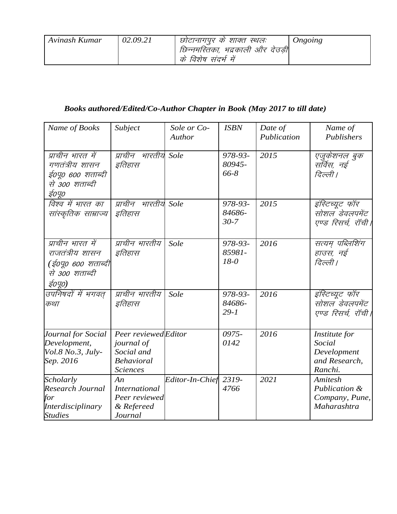| Avinash Kumar | 02.09.21 | छोटानागपूर के शाक्त स्थलः        | Ongoing |
|---------------|----------|----------------------------------|---------|
|               |          | छिन्नमस्तिका, भद्रकाली और देउड़ी |         |
|               |          | के विशेष संदर्भ में              |         |

## *Books authored/Edited/Co-Author Chapter in Book (May 2017 to till date)*

| Name of Books                                                                         | Subject                                                                                 | Sole or Co-<br>Author | <b>ISBN</b>                   | Date of<br>Publication | Name of<br>Publishers                                              |
|---------------------------------------------------------------------------------------|-----------------------------------------------------------------------------------------|-----------------------|-------------------------------|------------------------|--------------------------------------------------------------------|
| प्राचीन भारत में<br>गणतंत्रीय शासन<br>ई०पू० ६०० शताब्दी<br>से 300 शताब्दी<br>ई०पू०    | प्राचीन भारतीय Sole<br>इतिहास                                                           |                       | 978-93-<br>80945-<br>66-8     | 2015                   | एजुकेशनल बुक<br>सर्विस, नई<br>दिल्ली ।                             |
| विश्व में भारत का<br>सांस्कृतिक साम्राज्य                                             | प्राचीन भारतीय Sole<br>इतिहास                                                           |                       | 978-93-<br>84686-<br>$30 - 7$ | 2015                   | इंस्टिच्यूट फॉर<br>सोशल डेवलपमेंट<br>एण्ड रिसर्च, रॉची             |
| प्राचीन भारत में<br>राजतंत्रीय शासन<br>(ई०पू० ६०० शताब्दी<br>से ३०० शताब्दी<br>ई०पू०) | प्राचीन भारतीय<br>इतिहास                                                                | Sole                  | 978-93-<br>85981-<br>$18 - 0$ | 2016                   | सत्यम् पब्लिशिंग<br>हाउस, नई<br>दिल्ली ।                           |
| उपनिषदों में भगवत्<br>कथा                                                             | प्राचीन भारतीय<br>इतिहास                                                                | Sole                  | 978-93-<br>84686-<br>$29 - 1$ | 2016                   | इंस्टिच्यूट फॉर<br>सोशल डेवलपमेंट<br>एण्ड रिसर्च, रॉची             |
| Journal for Social<br>Development,<br>Vol.8 No.3, July-<br>Sep. 2016                  | Peer reviewedEditor<br>journal of<br>Social and<br><b>Behavioral</b><br><b>Sciences</b> |                       | 0975-<br>0142                 | 2016                   | Institute for<br>Social<br>Development<br>and Research,<br>Ranchi. |
| Scholarly<br>Research Journal<br>for<br>Interdisciplinary<br><b>Studies</b>           | An<br><b>International</b><br>Peer reviewed<br>& Refereed<br>Journal                    | Editor-In-Chief       | 2319-<br>4766                 | 2021                   | <b>Amitesh</b><br>Publication &<br>Company, Pune,<br>Maharashtra   |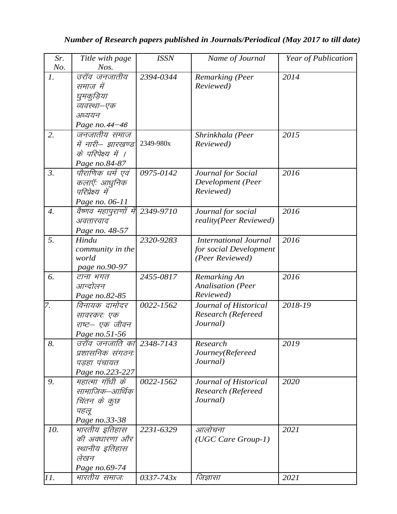### *Number of Research papers published in Journals/Periodical (May 2017 to till date)*

| Sr.              | Title with page                     | <b>ISSN</b>   | Name of Journal                | Year of Publication |
|------------------|-------------------------------------|---------------|--------------------------------|---------------------|
| No.              | Nos.                                |               |                                |                     |
| $\mathbf{I}$ .   | उरॉव जनजातीय                        | 2394-0344     | Remarking (Peer                | 2014                |
|                  | समाज में                            |               | Reviewed)                      |                     |
|                  | घुमकुड़िया                          |               |                                |                     |
|                  | व्यवस्था–एक                         |               |                                |                     |
|                  | अध्ययन                              |               |                                |                     |
|                  | Page no. 44-46                      |               |                                |                     |
| 2.               | जनजातीय समाज                        |               | Shrinkhala (Peer               | 2015                |
|                  | में नारी– झारखण्ड                   | 2349-980x     | Reviewed)                      |                     |
|                  | के परिपेक्ष्य में ।                 |               |                                |                     |
|                  | Page no.84-87                       |               |                                |                     |
| $\mathfrak{Z}.$  | पौराणिक धर्म एवं                    | 0975-0142     | Journal for Social             | 2016                |
|                  | कलाएँः आधुनिक                       |               | Development (Peer              |                     |
|                  | परिप्रेक्ष्य में                    |               | Reviewed)                      |                     |
|                  | Page no. 06-11                      |               |                                |                     |
| $\overline{4}$ . | वैष्णव महापुराणों में               | 2349-9710     | Journal for social             | 2016                |
|                  | अवतारवाद                            |               | reality(Peer Reviewed)         |                     |
|                  | Page no. 48-57                      |               |                                |                     |
| 5.               | Hindu                               | 2320-9283     | <b>International Journal</b>   | 2016                |
|                  | community in the                    |               | for social Development         |                     |
|                  | world                               |               | (Peer Reviewed)                |                     |
|                  | page no.90-97                       |               |                                |                     |
| 6.               | टाना भगत                            | 2455-0817     | Remarking An                   | 2016                |
|                  | आन्दोलन                             |               | <b>Analisation</b> (Peer       |                     |
|                  | Page no.82-85                       |               | Reviewed)                      |                     |
| 7.               | विनायक दामोदर                       | 0022-1562     | Journal of Historical          | 2018-19             |
|                  | सावरकरः एक                          |               | Research (Refereed             |                     |
|                  | राष्ट– एक जीवन                      |               | Journal)                       |                     |
|                  | Page no.51-56                       |               |                                |                     |
| 8.               | उरॉव जनजाति का 2348-7143            |               | Research                       | 2019                |
|                  | प्रशासनिक संगठनः                    |               | Journey(Refereed<br>Journal)   |                     |
|                  | पडहा पंचायत                         |               |                                |                     |
| 9.               | Page no.223-227<br>महात्मा गाँधी के | 0022-1562     |                                | 2020                |
|                  | सामाजिक–आर्थिक                      |               | Journal of Historical          |                     |
|                  |                                     |               | Research (Refereed<br>Journal) |                     |
|                  | चिंतन के कुछ                        |               |                                |                     |
|                  | पहलू                                |               |                                |                     |
| 10.              | Page no.33-38<br>मारतीय इतिहास      | 2231-6329     | आलोचना                         | 2021                |
|                  | की अवधारणा और                       |               | $(UGC Care Group-1)$           |                     |
|                  | स्थानीय इतिहास                      |               |                                |                     |
|                  | लेखन                                |               |                                |                     |
|                  | Page no.69-74                       |               |                                |                     |
| 11.              | भारतीय समाजः                        | $0337 - 743x$ | जिज्ञासा                       | 2021                |
|                  |                                     |               |                                |                     |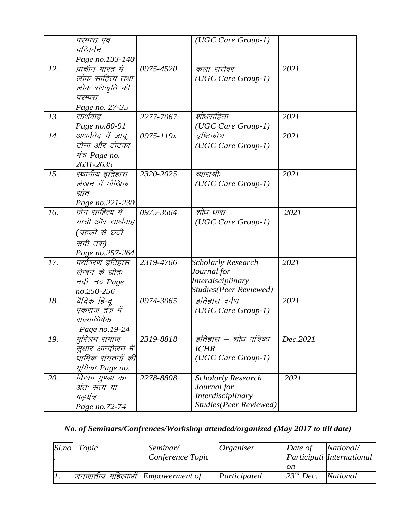|     | परम्परा एवं        |               | (UGC Care Group-1)             |          |
|-----|--------------------|---------------|--------------------------------|----------|
|     | परिवर्तन           |               |                                |          |
|     | Page no.133-140    |               |                                |          |
| 12. | प्राचीन भारत में   | 0975-4520     | कला सरोवर                      | 2021     |
|     | लोक साहित्य तथा    |               | (UGC Care Group-1)             |          |
|     | लोक संस्कृति की    |               |                                |          |
|     | परम्परा            |               |                                |          |
|     | Page no. 27-35     |               |                                |          |
| 13. | सार्थवाह           | 2277-7067     | शोधसंहिता                      | 2021     |
|     | Page no.80-91      |               | (UGC Care Group-1)             |          |
| 14. | अथर्ववेद में जादू, | $0975 - 119x$ | दुष्टिकोण                      | 2021     |
|     | टोना और टोटका      |               | (UGC Care Group-1)             |          |
|     | मंत्र Page no.     |               |                                |          |
|     | 2631-2635          |               |                                |          |
| 15. | स्थानीय इतिहास     | 2320-2025     | व्यासश्रीः                     | 2021     |
|     | लेखन में मौखिक     |               | (UGC Care Group-1)             |          |
|     | स्रोत              |               |                                |          |
|     | Page no.221-230    |               |                                |          |
| 16. | जैन साहित्य में    | 0975-3664     | शोध धारा                       | 2021     |
|     | यात्री और सार्थवाह |               | (UGC Care Group-1)             |          |
|     | (पहली से छठी       |               |                                |          |
|     | सदी तक)            |               |                                |          |
|     | Page no.257-264    |               |                                |          |
| 17. | पर्यावरण इतिहास    | 2319-4766     | <b>Scholarly Research</b>      | 2021     |
|     | लेखन के म्रोतः     |               | Journal for                    |          |
|     | नदी–नद Page        |               | Interdisciplinary              |          |
|     | no.250-256         |               | <b>Studies</b> (Peer Reviewed) |          |
| 18. | वैदिक हिन्दू       | 0974-3065     | इतिहास दर्पण                   | 2021     |
|     | एकराज तंत्र में    |               | (UGC Care Group-1)             |          |
|     | राज्याभिषेक        |               |                                |          |
|     | Page no.19-24      |               |                                |          |
| 19. | मुस्लिम समाज       | 2319-8818     | इतिहास – शोध पत्रिका           | Dec.2021 |
|     | सुधार आन्दोलन में  |               | <b>ICHR</b>                    |          |
|     | धार्मिक संगठनों की |               | (UGC Care Group-1)             |          |
|     | भूमिका Page no.    |               |                                |          |
| 20. | बिरसा मुण्डा का    | 2278-8808     | <b>Scholarly Research</b>      | 2021     |
|     | अंतः सत्य या       |               | Journal for                    |          |
|     | षडयंत्र            |               | Interdisciplinary              |          |
|     | Page no.72-74      |               | <b>Studies</b> (Peer Reviewed) |          |

## *No. of Seminars/Confrences/Workshop attended/organized (May 2017 to till date)*

| Sl.no | Topic                         | Seminar/         | <i>Organiser</i> | Date of        | National/                 |
|-------|-------------------------------|------------------|------------------|----------------|---------------------------|
|       |                               | Conference Topic |                  |                | Participati International |
|       |                               |                  |                  | on             |                           |
| Π.    | जनजातीय महिलाओं $Empowerment$ |                  | Participated     | $23^{rd}$ Dec. | National                  |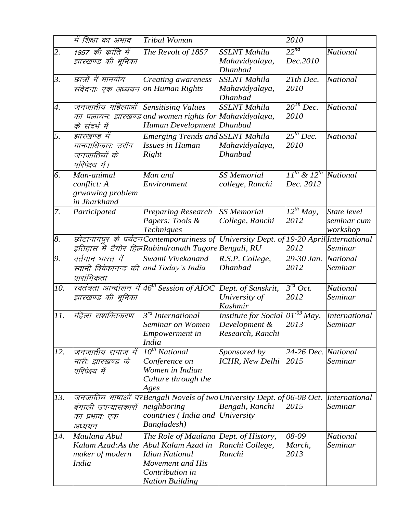|                    | में शिक्षा का अभाव                                                        | Tribal Woman                                                                                                                                          |                                                                           | 2010                                        |                                        |
|--------------------|---------------------------------------------------------------------------|-------------------------------------------------------------------------------------------------------------------------------------------------------|---------------------------------------------------------------------------|---------------------------------------------|----------------------------------------|
| 2.                 | 1857 की क्रांति में<br>झारखण्ड की भूमिका                                  | The Revolt of 1857                                                                                                                                    | <b>SSLNT</b> Mahila<br>Mahavidyalaya,                                     | $22^{nd}$<br>Dec.2010                       | National                               |
| $\beta$ .          | छात्रों में मानवीय<br>संवेदनाः एक अध्ययन                                  | Creating awareness<br>on Human Rights                                                                                                                 | Dhanbad<br><b>SSLNT</b> Mahila<br>Mahavidyalaya,<br>Dhanbad               | 21th Dec.<br>2010                           | National                               |
| $\boldsymbol{A}$ . | जनजातीय महिलाओं<br>के संदर्भ में                                          | <b>Sensitising Values</b><br>का पलायनः झारखण्ड and women rights for Mahavidyalaya,<br>Human Development Dhanbad                                       | <b>SSLNT</b> Mahila                                                       | $20^{Th}$ Dec.<br>2010                      | <b>National</b>                        |
| 5.                 | झारखण्ड में<br>मानवाधिकारः उराँव<br>जनजातियों के<br>परिपेक्ष्य में।       | Emerging Trends and SSLNT Mahila<br><b>Issues in Human</b><br><b>Right</b>                                                                            | Mahavidyalaya,<br>Dhanbad                                                 | $25^{th}$ Dec.<br>2010                      | <b>National</b>                        |
| 6.                 | Man-animal<br>conflict: A<br>grwawing problem<br>in Jharkhand             | Man and<br>Environment                                                                                                                                | <b>SS Memorial</b><br>college, Ranchi                                     | $II^{th}$ & $I2^{th}$ National<br>Dec. 2012 |                                        |
| 7.                 | Participated                                                              | Preparing Research<br>Papers: Tools &<br>Techniques                                                                                                   | <b>SS Memorial</b><br>College, Ranchi                                     | $12^{th}$ May,<br>2012                      | State level<br>seminar cum<br>workshop |
| 8.                 |                                                                           | छोटानागपुर के पर्यटन Contemporariness of University Dept. of 19-20 April International<br>इतिहास में टैगोर हिल Rabindranath Tagore Bengali, RU        |                                                                           | 2012                                        | Seminar                                |
| 9.                 | वर्तमान भारत में<br>स्वामी विवेकानन्द की and Today's India<br>प्रासंगिकता | Swami Vivekanand                                                                                                                                      | R.S.P. College,<br>Dhanbad                                                | 29-30 Jan.<br>2012                          | <b>National</b><br>Seminar             |
| 10.                | झारखण्ड की भूमिका                                                         | स्वतंत्रता आन्दोलन में $46^{th}$ Session of AIOC                                                                                                      | Dept. of Sanskrit,<br>University of<br><b>Kashmir</b>                     | $3^{rd}$ Oct.<br>2012                       | <b>National</b><br>Seminar             |
| 11.                | महिला सशक्तिकरण                                                           | $\overline{3^{rd}}$ International<br>Seminar on Women<br>Empowerment in<br>India                                                                      | Institute for Social $[01^{03}$ May,<br>Development &<br>Research, Ranchi | 2013                                        | <b>International</b><br>Seminar        |
| 12.                | जनजातीय समाज में<br>नारी: झारखण्ड के<br>परिपेक्ष्य में                    | $10^{th}$ National<br>Conference on<br>Women in Indian<br>Culture through the<br>Ages                                                                 | Sponsored by<br><b>ICHR, New Delhi</b>                                    | 24-26 Dec. National<br>2015                 | Seminar                                |
| 13.                | बंगाली उपन्यासकारों<br>का प्रभावः एक<br>अध्ययन                            | जनजातिय भाषाओं पर Bengali Novels of two University Dept. of 06-08 Oct.<br>neighboring<br>countries (India and University<br>Bangladesh)               | Bengali, Ranchi                                                           | 2015                                        | <i>International</i><br>Seminar        |
| 14.                | Maulana Abul<br>Kalam Azad:As the<br>maker of modern<br>India             | The Role of Maulana Dept. of History,<br>Abul Kalam Azad in<br><b>Idian National</b><br>Movement and His<br>Contribution in<br><b>Nation Building</b> | Ranchi College,<br>Ranchi                                                 | 08-09<br>March,<br>2013                     | National<br>Seminar                    |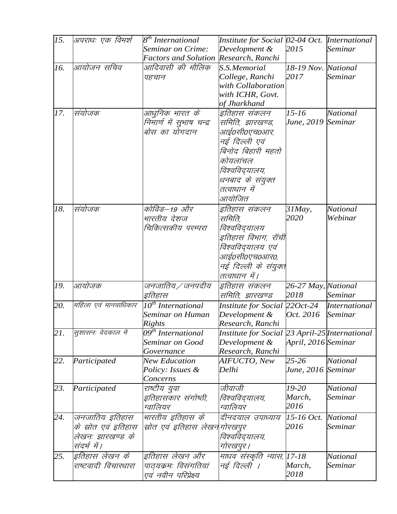| 15. | अपराधः एक विमर्श     | 8 <sup>th</sup> International         | Institute for Social 02-04 Oct. International  |                     |                      |
|-----|----------------------|---------------------------------------|------------------------------------------------|---------------------|----------------------|
|     |                      | Seminar on Crime:                     | Development &                                  | 2015                | Seminar              |
|     |                      | Factors and Solution Research, Ranchi |                                                |                     |                      |
| 16. | आयोजन सचिव           | आदिवासी की मौलिक                      | S.S.Memorial                                   | 18-19 Nov. National |                      |
|     |                      | पहचान                                 | College, Ranchi                                | 2017                | Seminar              |
|     |                      |                                       | with Collaboration                             |                     |                      |
|     |                      |                                       | with ICHR, Govt.                               |                     |                      |
|     |                      |                                       | of Jharkhand                                   |                     |                      |
| 17. | संयोजक               | आधुनिक भारत के                        | इतिहास संकलन                                   | $15 - 16$           | <b>National</b>      |
|     |                      | निमार्ण में सुभाष चन्द्र              | समिति, झारखण्ड,                                | June, 2019 Seminar  |                      |
|     |                      | बोस का योगदान                         | आई०सी०एच०आर,                                   |                     |                      |
|     |                      |                                       | नई दिल्ली एवं                                  |                     |                      |
|     |                      |                                       | बिनोद बिहारी महतो                              |                     |                      |
|     |                      |                                       | कोयलांचल                                       |                     |                      |
|     |                      |                                       |                                                |                     |                      |
|     |                      |                                       | विश्वविद्यालय,                                 |                     |                      |
|     |                      |                                       | धनबाद के संयुक्त                               |                     |                      |
|     |                      |                                       | तत्वाधान में                                   |                     |                      |
|     |                      |                                       | आयोजित                                         |                     |                      |
| 18. | संयोजक               | कोविड–19 और                           | इतिहास संकलन                                   | $31$ <i>May</i> ,   | <b>National</b>      |
|     |                      | भारतीय देशज                           | समिति,                                         | 2020                | Webinar              |
|     |                      | चिकित्सकीय परम्परा                    | विश्वविद्यालय                                  |                     |                      |
|     |                      |                                       | इतिहास विभाग, रॉची                             |                     |                      |
|     |                      |                                       | विश्वविद्यालय एवं                              |                     |                      |
|     |                      |                                       | आई०सी०एच०आर०,                                  |                     |                      |
|     |                      |                                       | नई दिल्ली के संयुक्त                           |                     |                      |
|     |                      |                                       | तत्वाधान में।                                  |                     |                      |
| 19. | आयोजक                | जनजातिय ⁄ जनपदीय                      | इतिहास संकलन                                   | 26-27 May, National |                      |
|     |                      | इतिहास                                | समिति, झारखण्ड                                 | 2018                | Seminar              |
| 20. | महिला एवं मानवाधिकार | $\overline{10}^{th}$ International    | Institute for Social 220ct-24                  |                     | <i>International</i> |
|     |                      | Seminar on Human                      | Development &                                  | Oct. 2016           | Seminar              |
|     |                      | <b>Rights</b>                         | Research, Ranchi                               |                     |                      |
| 21. | सुशासनः वेदकाल में   | $\overline{09}^{th}$ International    | Institute for Social 23 April-25 International |                     |                      |
|     |                      | Seminar on Good                       | Development &                                  | April, 2016 Seminar |                      |
|     |                      | Governance                            | Research, Ranchi                               |                     |                      |
| 22. | Participated         | <b>New Education</b>                  | AIFUCTO, New                                   | 25-26               | National             |
|     |                      | Policy: Issues &                      | Delhi                                          | June, 2016 Seminar  |                      |
|     |                      | Concerns                              |                                                |                     |                      |
| 23. | Participated         | राष्टीय युवा                          | जीवाजी                                         | 19-20               | National             |
|     |                      | इतिहासकार संगोष्ठी,                   | विश्वविद्यालय,                                 | March,              | Seminar              |
|     |                      | ग्वालियर                              | ग्वालियर                                       | 2016                |                      |
| 24. | जनजातिय इतिहास       | भारतीय इतिहास के                      | दीनदयाल उपाध्याय                               | 15-16 Oct.          | National             |
|     | के स्रोत एवं इतिहास  | स्रोत एवं इतिहास लेखनगोरखपुर          |                                                | 2016                | Seminar              |
|     | लेखनः झारखण्ड के     |                                       | विश्वविद्यालय,                                 |                     |                      |
|     | संदर्भ में।          |                                       | गोरखपुर ।                                      |                     |                      |
|     |                      |                                       |                                                |                     |                      |
| 25. | इतिहास लेखन के       | इतिहास लेखन और                        | माधव संस्कृति न्यास, 17-18                     |                     | National             |
|     | राष्टवादी विचारधारा  | पाठ्यक्रमः विसंगतियां                 | नई दिल्ली ।                                    | March,              | Seminar              |
|     |                      | एवं नवीन परिप्रेक्ष्य                 |                                                | 2018                |                      |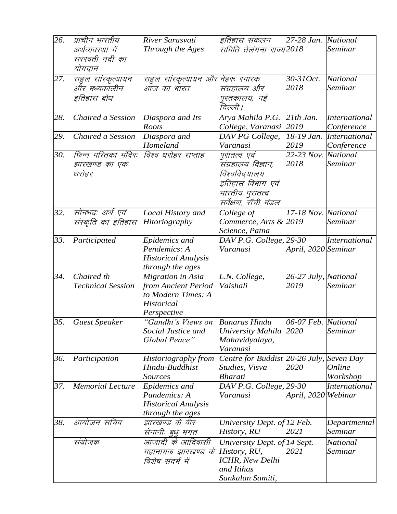| 26. | प्राचीन भारतीय          | River Sarasvati                           | इतिहास संकलन                          | 27-28 Jan. National  |                      |
|-----|-------------------------|-------------------------------------------|---------------------------------------|----------------------|----------------------|
|     | अर्थव्यवस्था में        | Through the Ages                          | समिति तेलंगना राज्य2018               |                      | Seminar              |
|     | सरस्वती नदी का          |                                           |                                       |                      |                      |
|     | योगदान                  |                                           |                                       |                      |                      |
| 27. | राहुल सांस्कृत्यायन     | राहुल सांस्कृत्यायन और नेहरू स्मारक       |                                       | 30-310ct.            | National             |
|     | और मध्यकालीन            | आज का भारत                                | संग्रहालय और                          | 2018                 | Seminar              |
|     | इतिहास बोध              |                                           | पुस्तकालय, नई                         |                      |                      |
|     |                         |                                           | दिल्ली ।                              |                      |                      |
| 28. | Chaired a Session       | Diaspora and Its                          | Arya Mahila P.G.                      | $21th$ Jan.          | <b>International</b> |
|     |                         | <b>Roots</b>                              | College, Varanasi                     | 2019                 | Conference           |
| 29. | Chaired a Session       | Diaspora and                              | DAV PG College,                       | 18-19 Jan.           | <i>International</i> |
|     |                         | Homeland                                  | Varanasi                              | 2019                 | Conference           |
| 30. | छिन्न मस्तिका मंदिर:    | विश्व धरोहर सप्ताह                        | पुरातत्व एवं                          | 22-23 Nov. National  |                      |
|     | झारखण्ड का एक           |                                           | संग्रहालय विज्ञान,                    | 2018                 | Seminar              |
|     | धरोहर                   |                                           | विश्वविद्यालय                         |                      |                      |
|     |                         |                                           | इतिहास विभाग एवं                      |                      |                      |
|     |                         |                                           | भारतीय पुरातत्व                       |                      |                      |
|     |                         |                                           | सर्वेक्षण, रॉची मंडल                  |                      |                      |
| 32. | सोनभद्रः अर्थ एवं       | Local History and                         | College of                            | 17-18 Nov. National  |                      |
|     | संस्कृति का इतिहास      | <b>Hitoriography</b>                      | Commerce, Arts & 2019                 |                      | Seminar              |
|     |                         |                                           | Science, Patna                        |                      |                      |
| 33. | Participated            | Epidemics and                             | DAV P.G. College, 29-30               |                      | <b>International</b> |
|     |                         | Pendemics: A                              | Varanasi                              | April, 2020 Seminar  |                      |
|     |                         | <b>Historical Analysis</b>                |                                       |                      |                      |
|     |                         | through the ages                          |                                       |                      |                      |
| 34. | Chaired th              | Migration in Asia                         | L.N. College,                         | 26-27 July, National |                      |
|     | Technical Session       | from Ancient Period<br>to Modern Times: A | Vaishali                              | 2019                 | Seminar              |
|     |                         | Historical                                |                                       |                      |                      |
|     |                         | Perspective                               |                                       |                      |                      |
| 35. | <b>Guest Speaker</b>    | "Gandhi's Views on Banaras Hindu          |                                       | 06-07 Feb. National  |                      |
|     |                         | Social Justice and                        | University Mahila                     | 2020                 | Seminar              |
|     |                         | Global Peace"                             | Mahavidyalaya,                        |                      |                      |
|     |                         |                                           | Varanasi                              |                      |                      |
| 36. | Participation           | Historiography from                       | Centre for Buddist 20-26 July,        |                      | Seven Day            |
|     |                         | Hindu-Buddhist                            | Studies, Visva                        | 2020                 | <b>Online</b>        |
|     |                         | <b>Sources</b>                            | Bharati                               |                      | Workshop             |
| 37. | <b>Memorial Lecture</b> | Epidemics and                             | DAV P.G. College, 29-30               |                      | <b>International</b> |
|     |                         | Pandemics: A                              | Varanasi                              | April, 2020 Webinar  |                      |
|     |                         | <b>Historical Analysis</b>                |                                       |                      |                      |
|     |                         | through the ages                          |                                       |                      |                      |
| 38. | आयोजन सचिव              | झारखण्ड के वीर                            | University Dept. of 12 Feb.           |                      | Departmental         |
|     |                         | सेनानी: बुधु भगत                          | History, RU                           | 2021                 | Seminar              |
|     | संयोजक                  | आजादी के आदिवासी                          | University Dept. of 14 Sept.          |                      | <b>National</b>      |
|     |                         | महानायक झारखण्ड के History, RU,           |                                       | 2021                 | Seminar              |
|     |                         | विशेष संदर्भ में                          | <b>ICHR</b> , New Delhi<br>and Itihas |                      |                      |
|     |                         |                                           | Sankalan Samiti,                      |                      |                      |
|     |                         |                                           |                                       |                      |                      |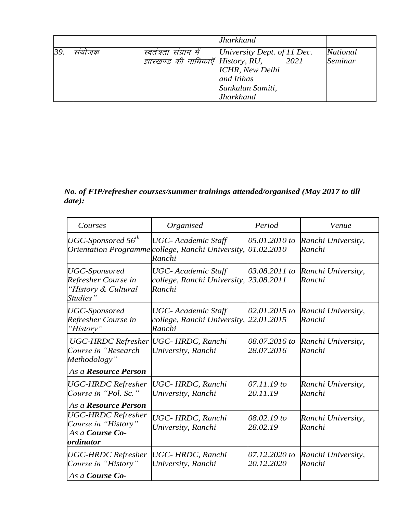|    |       |                                  | Jharkhand                    |      |                 |
|----|-------|----------------------------------|------------------------------|------|-----------------|
| 39 | सयाजक | स्वतंत्रता संग्राम में           | University Dept. of [11 Dec. |      | <b>National</b> |
|    |       | झारखण्ड की नायिकाएँ History, RU, |                              | 2021 | Seminar         |
|    |       |                                  | <b>ICHR</b> , New Delhi      |      |                 |
|    |       |                                  | and Itihas                   |      |                 |
|    |       |                                  | Sankalan Samiti,             |      |                 |
|    |       |                                  | Jharkhand                    |      |                 |

*No. of FIP/refresher courses/summer trainings attended/organised (May 2017 to till date):*

| Courses                                                                                             | Organised                                                            | Period                      | Venue                        |
|-----------------------------------------------------------------------------------------------------|----------------------------------------------------------------------|-----------------------------|------------------------------|
| UGC-Sponsored 56 <sup>th</sup><br><b>Orientation Programme</b>                                      | <b>UGC</b> - Academic Staff<br>college, Ranchi University,<br>Ranchi | 05.01.2010 to<br>01.02.2010 | Ranchi University,<br>Ranchi |
| UGC-Sponsored<br>Refresher Course in<br>"History & Cultural<br>Studies"                             | <b>UGC</b> - Academic Staff<br>college, Ranchi University,<br>Ranchi | 03.08.2011 to<br>23.08.2011 | Ranchi University,<br>Ranchi |
| <b>UGC-Sponsored</b><br>Refresher Course in<br>"History"                                            | <b>UGC</b> - Academic Staff<br>college, Ranchi University,<br>Ranchi | 02.01.2015 to<br>22.01.2015 | Ranchi University,<br>Ranchi |
| UGC-HRDC Refresher UGC- HRDC, Ranchi<br>Course in "Research<br>Methodology"<br>As a Resource Person | University, Ranchi                                                   | 08.07.2016 to<br>28.07.2016 | Ranchi University,<br>Ranchi |
| <b>UGC-HRDC Refresher</b><br>Course in "Pol. Sc."<br>As a Resource Person                           | UGC-HRDC, Ranchi<br>University, Ranchi                               | 07.11.19 to<br>20.11.19     | Ranchi University,<br>Ranchi |
| <b>UGC-HRDC Refresher</b><br>Course in "History"<br>As a Course Co-<br>ordinator                    | UGC-HRDC, Ranchi<br>University, Ranchi                               | 08.02.19 to<br>28.02.19     | Ranchi University,<br>Ranchi |
| <b>UGC-HRDC Refresher</b><br>Course in "History"<br>As a Course Co-                                 | UGC-HRDC, Ranchi<br>University, Ranchi                               | 07.12.2020 to<br>20.12.2020 | Ranchi University,<br>Ranchi |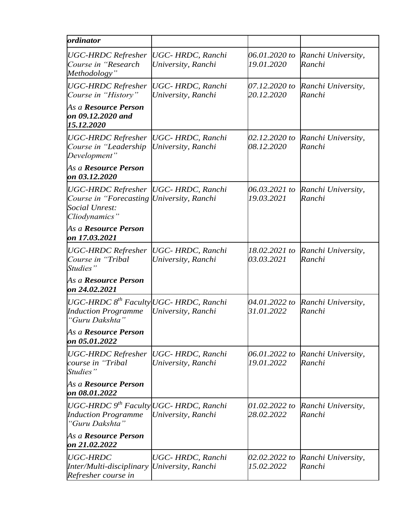| ordinator                                                                                                                    |                                                |                             |                              |
|------------------------------------------------------------------------------------------------------------------------------|------------------------------------------------|-----------------------------|------------------------------|
| <b>UGC-HRDC Refresher</b><br>Course in "Research"<br>Methodology"                                                            | <b>UGC-HRDC</b> , Ranchi<br>University, Ranchi | 06.01.2020 to<br>19.01.2020 | Ranchi University,<br>Ranchi |
| <b>UGC-HRDC</b> Refresher<br>Course in "History"                                                                             | <b>UGC-HRDC</b> , Ranchi<br>University, Ranchi | 07.12.2020 to<br>20.12.2020 | Ranchi University,<br>Ranchi |
| As a Resource Person<br>on 09.12.2020 and<br>15.12.2020                                                                      |                                                |                             |                              |
| <b>UGC-HRDC</b> Refresher<br>Course in "Leadership"<br>Development"                                                          | <b>UGC-HRDC</b> , Ranchi<br>University, Ranchi | 02.12.2020 to<br>08.12.2020 | Ranchi University,<br>Ranchi |
| As a Resource Person<br>on 03.12.2020                                                                                        |                                                |                             |                              |
| UGC-HRDC Refresher  UGC- HRDC, Ranchi<br>Course in "Forecasting University, Ranchi<br><b>Social Unrest:</b><br>Cliodynamics" |                                                | 06.03.2021 to<br>19.03.2021 | Ranchi University,<br>Ranchi |
| As a <b>Resource Person</b><br>on 17.03.2021                                                                                 |                                                |                             |                              |
| <b>UGC-HRDC Refresher</b><br>Course in "Tribal"<br>Studies"                                                                  | <b>UGC-HRDC</b> , Ranchi<br>University, Ranchi | 18.02.2021 to<br>03.03.2021 | Ranchi University,<br>Ranchi |
| As a Resource Person<br>on 24.02.2021                                                                                        |                                                |                             |                              |
| UGC-HRDC 8 <sup>th</sup> Faculty UGC- HRDC, Ranchi<br><b>Induction Programme</b><br>"Guru Dakshta"                           | University, Ranchi                             | 04.01.2022 to<br>31.01.2022 | Ranchi University,<br>Ranchi |
| As a Resource Person<br>on 05.01.2022                                                                                        |                                                |                             |                              |
| <b>UGC-HRDC Refresher</b><br>course in "Tribal<br>Studies"                                                                   | UGC-HRDC, Ranchi<br>University, Ranchi         | 06.01.2022 to<br>19.01.2022 | Ranchi University,<br>Ranchi |
| As a Resource Person<br>on 08.01.2022                                                                                        |                                                |                             |                              |
| UGC-HRDC $9^{th}$ Faculty UGC- HRDC, Ranchi<br><b>Induction Programme</b><br>"Guru Dakshta"                                  | University, Ranchi                             | 01.02.2022 to<br>28.02.2022 | Ranchi University,<br>Ranchi |
| As a Resource Person<br>on 21.02.2022                                                                                        |                                                |                             |                              |
| <b>UGC-HRDC</b><br>Inter/Multi-disciplinary  University, Ranchi<br>Refresher course in                                       | UGC-HRDC, Ranchi                               | 02.02.2022 to<br>15.02.2022 | Ranchi University,<br>Ranchi |